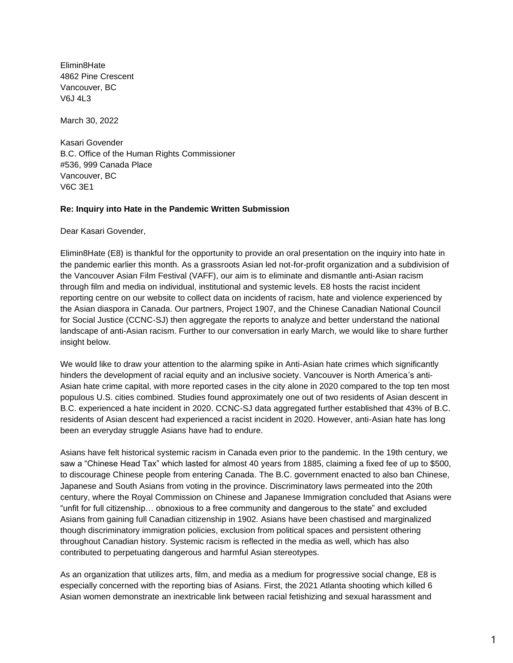Elimin8Hate 4862 Pine Crescent Vancouver, BC V6J 4L3

March 30, 2022

Kasari Govender B.C. Office of the Human Rights Commissioner #536, 999 Canada Place Vancouver, BC V6C 3E1

## **Re: Inquiry into Hate in the Pandemic Written Submission**

Dear Kasari Govender,

Elimin8Hate (E8) is thankful for the opportunity to provide an oral presentation on the inquiry into hate in the pandemic earlier this month. As a grassroots Asian led not-for-profit organization and a subdivision of the Vancouver Asian Film Festival (VAFF), our aim is to eliminate and dismantle anti-Asian racism through film and media on individual, institutional and systemic levels. E8 hosts the racist incident reporting centre on our website to collect data on incidents of racism, hate and violence experienced by the Asian diaspora in Canada. Our partners, Project 1907, and the Chinese Canadian National Council for Social Justice (CCNC-SJ) then aggregate the reports to analyze and better understand the national landscape of anti-Asian racism. Further to our conversation in early March, we would like to share further insight below.

We would like to draw your attention to the alarming spike in Anti-Asian hate crimes which significantly hinders the development of racial equity and an inclusive society. Vancouver is North America's anti-Asian hate crime capital, with more reported cases in the city alone in 2020 compared to the top ten most populous U.S. cities combined. Studies found approximately one out of two residents of Asian descent in B.C. experienced a hate incident in 2020. CCNC-SJ data aggregated further established that 43% of B.C. residents of Asian descent had experienced a racist incident in 2020. However, anti-Asian hate has long been an everyday struggle Asians have had to endure.

Asians have felt historical systemic racism in Canada even prior to the pandemic. In the 19th century, we saw a "Chinese Head Tax" which lasted for almost 40 years from 1885, claiming a fixed fee of up to \$500, to discourage Chinese people from entering Canada. The B.C. government enacted to also ban Chinese, Japanese and South Asians from voting in the province. Discriminatory laws permeated into the 20th century, where the Royal Commission on Chinese and Japanese Immigration concluded that Asians were "unfit for full citizenship… obnoxious to a free community and dangerous to the state" and excluded Asians from gaining full Canadian citizenship in 1902. Asians have been chastised and marginalized though discriminatory immigration policies, exclusion from political spaces and persistent othering throughout Canadian history. Systemic racism is reflected in the media as well, which has also contributed to perpetuating dangerous and harmful Asian stereotypes.

As an organization that utilizes arts, film, and media as a medium for progressive social change, E8 is especially concerned with the reporting bias of Asians. First, the 2021 Atlanta shooting which killed 6 Asian women demonstrate an inextricable link between racial fetishizing and sexual harassment and